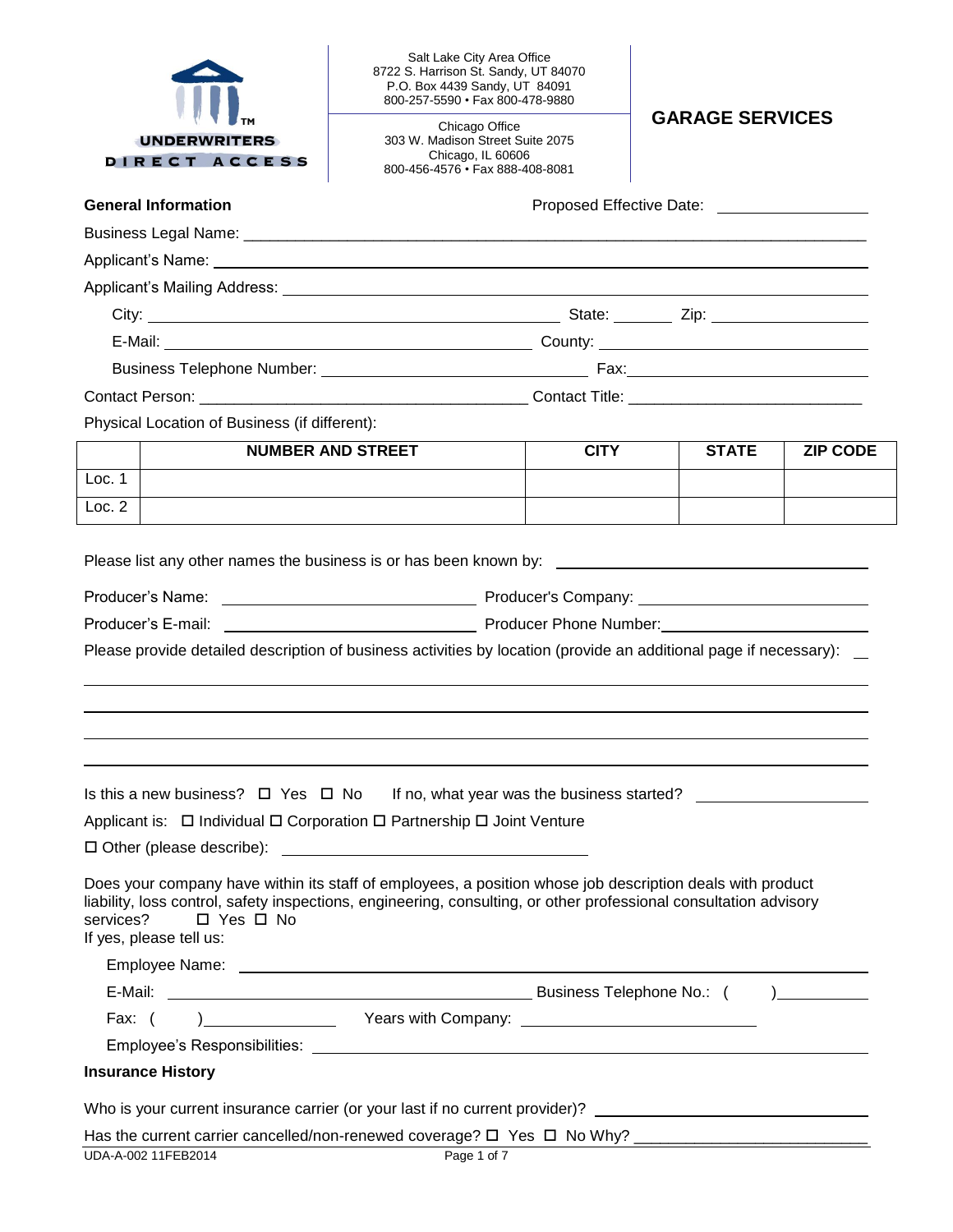| <b>UNDERWRITERS</b><br>DIRECT ACCESS                                                                                                                                                                                                                                                 | Salt Lake City Area Office<br>8722 S. Harrison St. Sandy, UT 84070<br>P.O. Box 4439 Sandy, UT 84091<br>800-257-5590 · Fax 800-478-9880<br>Chicago Office<br>303 W. Madison Street Suite 2075<br>Chicago, IL 60606<br>800-456-4576 • Fax 888-408-8081 | <b>GARAGE SERVICES</b> |              |                 |  |  |
|--------------------------------------------------------------------------------------------------------------------------------------------------------------------------------------------------------------------------------------------------------------------------------------|------------------------------------------------------------------------------------------------------------------------------------------------------------------------------------------------------------------------------------------------------|------------------------|--------------|-----------------|--|--|
| <b>General Information</b>                                                                                                                                                                                                                                                           |                                                                                                                                                                                                                                                      |                        |              |                 |  |  |
|                                                                                                                                                                                                                                                                                      |                                                                                                                                                                                                                                                      |                        |              |                 |  |  |
|                                                                                                                                                                                                                                                                                      |                                                                                                                                                                                                                                                      |                        |              |                 |  |  |
|                                                                                                                                                                                                                                                                                      |                                                                                                                                                                                                                                                      |                        |              |                 |  |  |
|                                                                                                                                                                                                                                                                                      |                                                                                                                                                                                                                                                      |                        |              |                 |  |  |
|                                                                                                                                                                                                                                                                                      |                                                                                                                                                                                                                                                      |                        |              |                 |  |  |
|                                                                                                                                                                                                                                                                                      |                                                                                                                                                                                                                                                      |                        |              |                 |  |  |
|                                                                                                                                                                                                                                                                                      |                                                                                                                                                                                                                                                      |                        |              |                 |  |  |
| Physical Location of Business (if different):                                                                                                                                                                                                                                        |                                                                                                                                                                                                                                                      |                        |              |                 |  |  |
|                                                                                                                                                                                                                                                                                      | <b>NUMBER AND STREET</b>                                                                                                                                                                                                                             | <b>CITY</b>            | <b>STATE</b> | <b>ZIP CODE</b> |  |  |
| Loc. 1                                                                                                                                                                                                                                                                               |                                                                                                                                                                                                                                                      |                        |              |                 |  |  |
| Loc. 2                                                                                                                                                                                                                                                                               |                                                                                                                                                                                                                                                      |                        |              |                 |  |  |
| Please provide detailed description of business activities by location (provide an additional page if necessary):                                                                                                                                                                    |                                                                                                                                                                                                                                                      |                        |              |                 |  |  |
| Is this a new business? $\Box$ Yes $\Box$ No If no, what year was the business started? $\Box$<br>Applicant is: □ Individual □ Corporation □ Partnership □ Joint Venture                                                                                                             |                                                                                                                                                                                                                                                      |                        |              |                 |  |  |
| Does your company have within its staff of employees, a position whose job description deals with product<br>liability, loss control, safety inspections, engineering, consulting, or other professional consultation advisory<br>□ Yes □ No<br>services?<br>If yes, please tell us: |                                                                                                                                                                                                                                                      |                        |              |                 |  |  |
|                                                                                                                                                                                                                                                                                      |                                                                                                                                                                                                                                                      |                        |              |                 |  |  |
|                                                                                                                                                                                                                                                                                      |                                                                                                                                                                                                                                                      |                        |              |                 |  |  |
| Fax: (                                                                                                                                                                                                                                                                               | ) The Company: Nears with Company:                                                                                                                                                                                                                   |                        |              |                 |  |  |
|                                                                                                                                                                                                                                                                                      |                                                                                                                                                                                                                                                      |                        |              |                 |  |  |
| <b>Insurance History</b>                                                                                                                                                                                                                                                             |                                                                                                                                                                                                                                                      |                        |              |                 |  |  |
| Who is your current insurance carrier (or your last if no current provider)? _________________________________                                                                                                                                                                       |                                                                                                                                                                                                                                                      |                        |              |                 |  |  |
|                                                                                                                                                                                                                                                                                      |                                                                                                                                                                                                                                                      |                        |              |                 |  |  |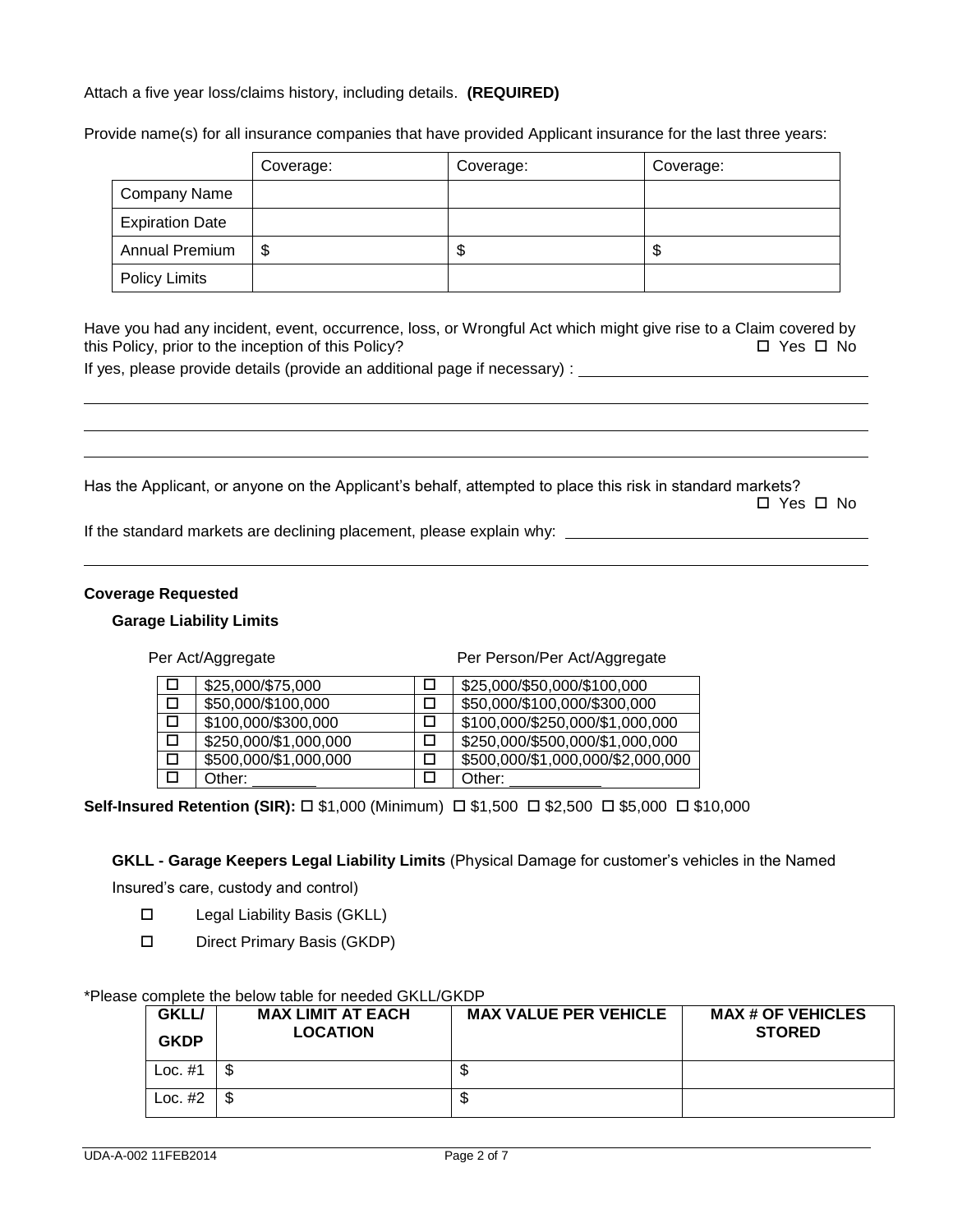## Attach a five year loss/claims history, including details. **(REQUIRED)**

Provide name(s) for all insurance companies that have provided Applicant insurance for the last three years:

|                        | Coverage: | Coverage: | Coverage: |
|------------------------|-----------|-----------|-----------|
| <b>Company Name</b>    |           |           |           |
| <b>Expiration Date</b> |           |           |           |
| Annual Premium         | \$        | D         | จ         |
| <b>Policy Limits</b>   |           |           |           |

Have you had any incident, event, occurrence, loss, or Wrongful Act which might give rise to a Claim covered by this Policy, prior to the inception of this Policy?  $\Box$  Yes  $\Box$  No

If yes, please provide details (provide an additional page if necessary) :

Has the Applicant, or anyone on the Applicant's behalf, attempted to place this risk in standard markets? Yes No

If the standard markets are declining placement, please explain why:

#### **Coverage Requested**

#### **Garage Liability Limits**

Per Act/Aggregate Per Person/Per Act/Aggregate

| \$25,000/\$75,000     | \$25,000/\$50,000/\$100,000       |
|-----------------------|-----------------------------------|
| \$50,000/\$100,000    | \$50,000/\$100,000/\$300,000      |
| \$100,000/\$300,000   | \$100,000/\$250,000/\$1,000,000   |
| \$250,000/\$1,000,000 | \$250,000/\$500,000/\$1,000,000   |
| \$500,000/\$1,000,000 | \$500,000/\$1,000,000/\$2,000,000 |
| Other:                | Other:                            |

**Self-Insured Retention (SIR):** □ \$1,000 (Minimum) □ \$1,500 □ \$2,500 □ \$5,000 □ \$10,000

**GKLL - Garage Keepers Legal Liability Limits** (Physical Damage for customer's vehicles in the Named

Insured's care, custody and control)

- □ Legal Liability Basis (GKLL)
- D Direct Primary Basis (GKDP)

#### \*Please complete the below table for needed GKLL/GKDP

| <b>GKLL/</b><br><b>GKDP</b> | <b>MAX LIMIT AT EACH</b><br><b>LOCATION</b> | <b>MAX VALUE PER VEHICLE</b> | <b>MAX # OF VEHICLES</b><br><b>STORED</b> |
|-----------------------------|---------------------------------------------|------------------------------|-------------------------------------------|
| Loc. $#1$                   |                                             | Φ                            |                                           |
| Loc. $#2$                   |                                             | Φ                            |                                           |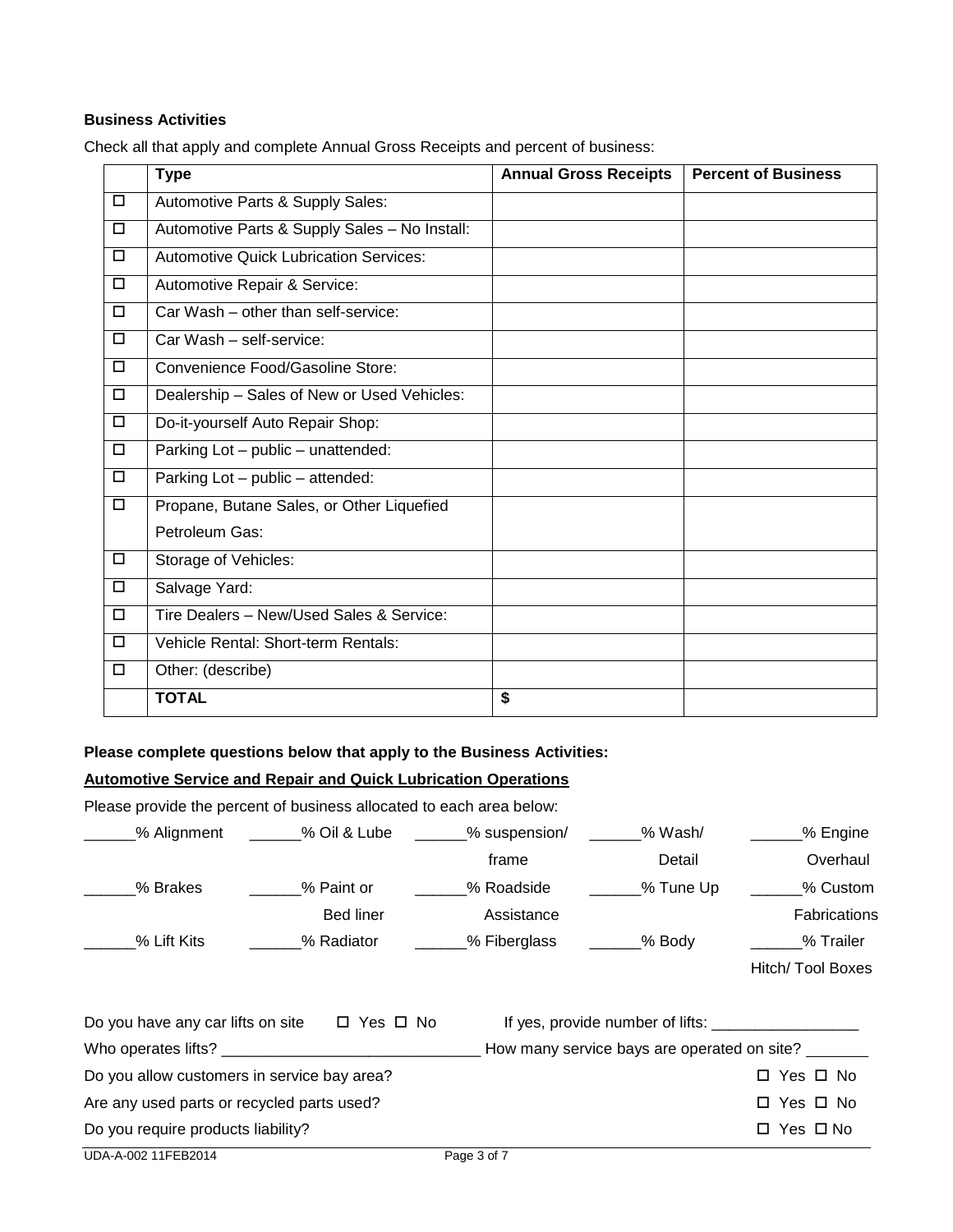## **Business Activities**

Check all that apply and complete Annual Gross Receipts and percent of business:

|              | <b>Type</b>                                   | <b>Annual Gross Receipts</b> | <b>Percent of Business</b> |
|--------------|-----------------------------------------------|------------------------------|----------------------------|
| $\mathbf{D}$ | Automotive Parts & Supply Sales:              |                              |                            |
| $\Box$       | Automotive Parts & Supply Sales - No Install: |                              |                            |
| $\Box$       | <b>Automotive Quick Lubrication Services:</b> |                              |                            |
| $\Box$       | Automotive Repair & Service:                  |                              |                            |
| $\Box$       | Car Wash - other than self-service:           |                              |                            |
| $\Box$       | Car Wash - self-service:                      |                              |                            |
| $\Box$       | Convenience Food/Gasoline Store:              |                              |                            |
| $\Box$       | Dealership - Sales of New or Used Vehicles:   |                              |                            |
| $\Box$       | Do-it-yourself Auto Repair Shop:              |                              |                            |
| $\Box$       | Parking Lot - public - unattended:            |                              |                            |
| $\Box$       | Parking Lot - public - attended:              |                              |                            |
| $\Box$       | Propane, Butane Sales, or Other Liquefied     |                              |                            |
|              | Petroleum Gas:                                |                              |                            |
| $\Box$       | Storage of Vehicles:                          |                              |                            |
| $\Box$       | Salvage Yard:                                 |                              |                            |
| $\Box$       | Tire Dealers - New/Used Sales & Service:      |                              |                            |
| $\Box$       | Vehicle Rental: Short-term Rentals:           |                              |                            |
| $\Box$       | Other: (describe)                             |                              |                            |
|              | <b>TOTAL</b>                                  | \$                           |                            |

### **Please complete questions below that apply to the Business Activities:**

# **Automotive Service and Repair and Quick Lubrication Operations**

Please provide the percent of business allocated to each area below:

| % Alignment                                            | % Oil & Lube | _% suspension/ | % Wash/                                     | % Engine            |
|--------------------------------------------------------|--------------|----------------|---------------------------------------------|---------------------|
|                                                        |              | frame          | Detail                                      | Overhaul            |
| % Brakes                                               | % Paint or   | % Roadside     | ___% Tune Up                                | % Custom            |
|                                                        | Bed liner    | Assistance     |                                             | <b>Fabrications</b> |
| % Lift Kits                                            | % Radiator   | _% Fiberglass  | ____% Body                                  | % Trailer           |
|                                                        |              |                |                                             | Hitch/ Tool Boxes   |
| Do you have any car lifts on site $\Box$ Yes $\Box$ No |              |                |                                             |                     |
|                                                        |              |                | How many service bays are operated on site? |                     |
| Do you allow customers in service bay area?            |              |                |                                             | □ Yes □ No          |
| Are any used parts or recycled parts used?             |              |                |                                             | □ Yes □ No          |
| Do you require products liability?                     |              |                |                                             | □ Yes □ No          |
| UDA-A-002 11FEB2014                                    |              | Page 3 of 7    |                                             |                     |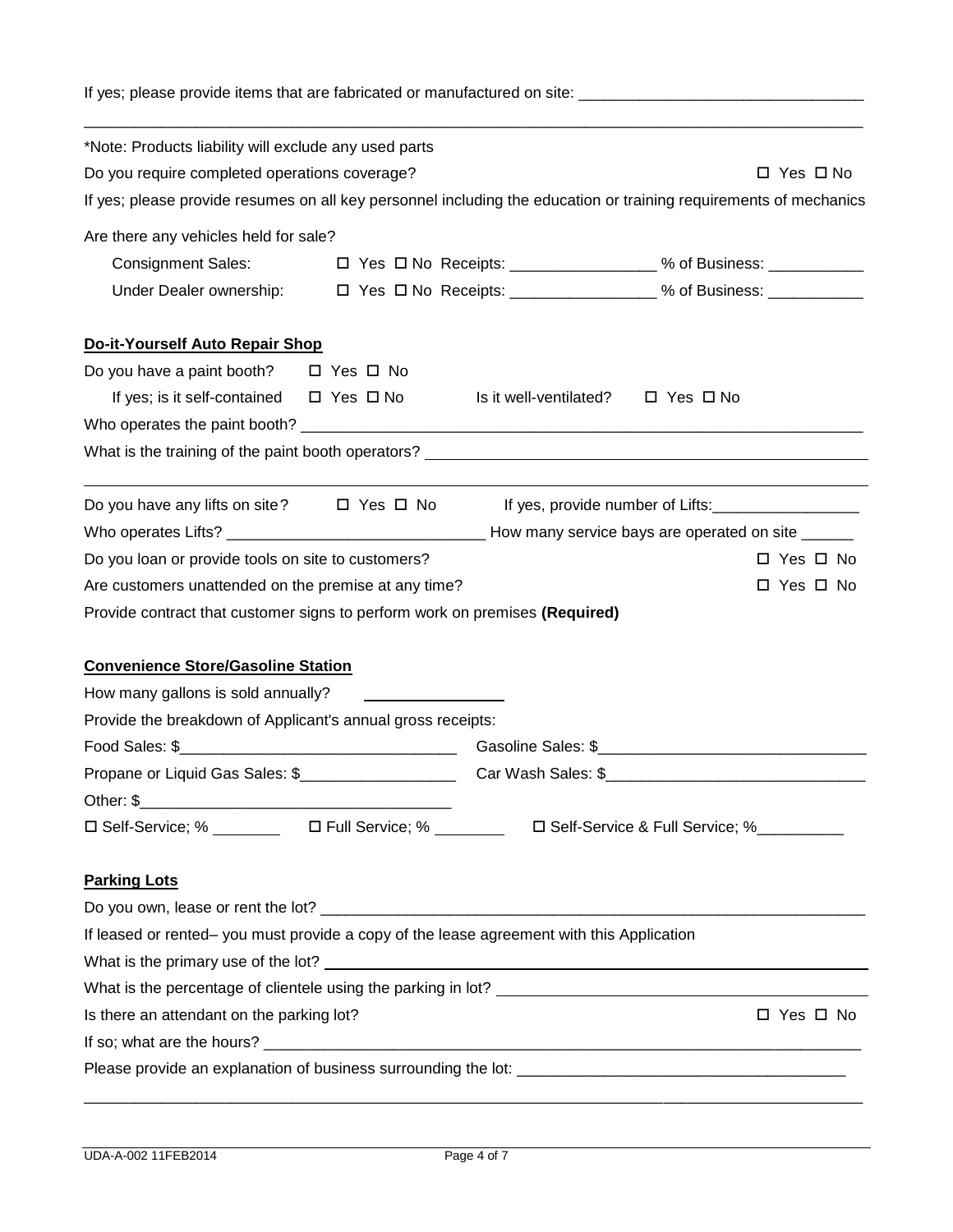If yes; please provide items that are fabricated or manufactured on site: \_\_\_\_\_\_\_\_\_\_\_\_\_\_\_\_\_\_\_\_\_\_\_\_\_\_\_\_\_\_\_\_\_

| *Note: Products liability will exclude any used parts                                                                        |                        |                                                                                                                   |
|------------------------------------------------------------------------------------------------------------------------------|------------------------|-------------------------------------------------------------------------------------------------------------------|
| Do you require completed operations coverage?                                                                                |                        | $\Box$ Yes $\Box$ No                                                                                              |
|                                                                                                                              |                        | If yes; please provide resumes on all key personnel including the education or training requirements of mechanics |
| Are there any vehicles held for sale?                                                                                        |                        |                                                                                                                   |
| <b>Consignment Sales:</b>                                                                                                    |                        | □ Yes □ No Receipts: _________________% of Business: ______________                                               |
|                                                                                                                              |                        |                                                                                                                   |
| Do-it-Yourself Auto Repair Shop                                                                                              |                        |                                                                                                                   |
| Do you have a paint booth? $\Box$ Yes $\Box$ No                                                                              |                        |                                                                                                                   |
| If yes; is it self-contained $\Box$ Yes $\Box$ No                                                                            | Is it well-ventilated? | $\Box$ Yes $\Box$ No                                                                                              |
|                                                                                                                              |                        |                                                                                                                   |
| What is the training of the paint booth operators? <u>example and the contract of the state of the state of the state of</u> |                        |                                                                                                                   |
| Do you have any lifts on site? $\Box$ Yes $\Box$ No                                                                          |                        | If yes, provide number of Lifts:                                                                                  |
|                                                                                                                              |                        |                                                                                                                   |
|                                                                                                                              |                        |                                                                                                                   |
| Do you loan or provide tools on site to customers?                                                                           |                        | $\Box$ Yes $\Box$ No                                                                                              |
| Are customers unattended on the premise at any time?                                                                         |                        | $\Box$ Yes $\Box$ No                                                                                              |
| Provide contract that customer signs to perform work on premises (Required)                                                  |                        |                                                                                                                   |
|                                                                                                                              |                        |                                                                                                                   |
| <b>Convenience Store/Gasoline Station</b>                                                                                    |                        |                                                                                                                   |
| How many gallons is sold annually?                                                                                           |                        |                                                                                                                   |
| Provide the breakdown of Applicant's annual gross receipts:                                                                  |                        |                                                                                                                   |
|                                                                                                                              |                        |                                                                                                                   |
|                                                                                                                              |                        |                                                                                                                   |
| □ Self-Service; % __________  □ Full Service; % _________  □ Self-Service & Full Service; %__________                        |                        |                                                                                                                   |
| <b>Parking Lots</b>                                                                                                          |                        |                                                                                                                   |
|                                                                                                                              |                        |                                                                                                                   |
| If leased or rented- you must provide a copy of the lease agreement with this Application                                    |                        |                                                                                                                   |
|                                                                                                                              |                        |                                                                                                                   |
|                                                                                                                              |                        |                                                                                                                   |
| Is there an attendant on the parking lot?                                                                                    |                        | □ Yes □ No                                                                                                        |
|                                                                                                                              |                        |                                                                                                                   |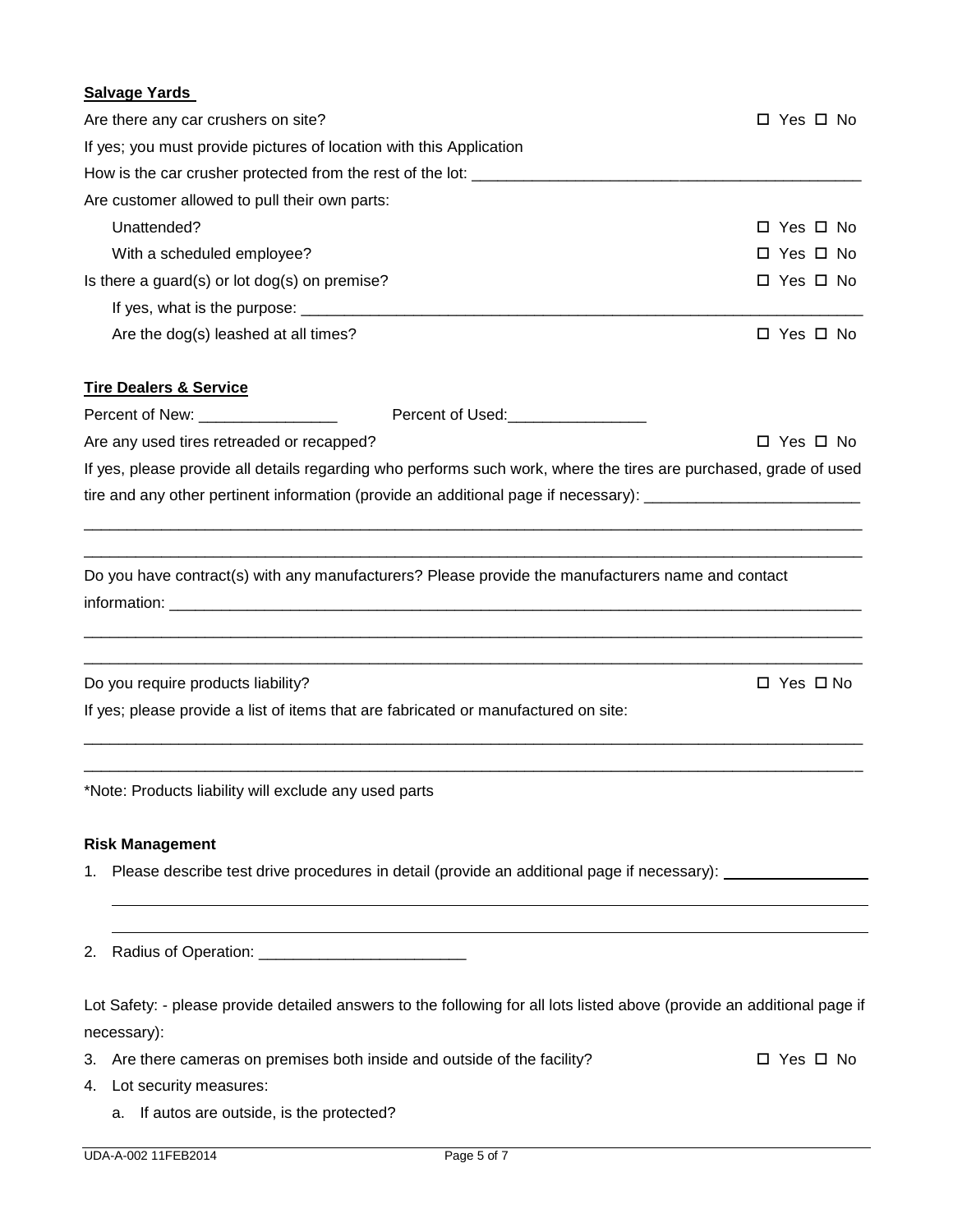# **Salvage Yards** Are there any car crushers on site?  $\Box$  Yes  $\Box$  Yes  $\Box$  No If yes; you must provide pictures of location with this Application How is the car crusher protected from the rest of the lot: Are customer allowed to pull their own parts: Unattended? Yes No With a scheduled employee?  $\Box$  Yes  $\Box$  No Is there a guard(s) or lot dog(s) on premise?  $\Box$  Yes  $\Box$  No If yes, what is the purpose:  $\Box$ Are the dog(s) leashed at all times?  $\Box$  Yes  $\Box$  No **Tire Dealers & Service** Percent of New: \_\_\_\_\_\_\_\_\_\_\_\_\_\_\_\_ Percent of Used:\_\_\_\_\_\_\_\_\_\_\_\_\_\_\_\_ Are any used tires retreaded or recapped? 
<br>
Are any used tires retreaded or recapped? If yes, please provide all details regarding who performs such work, where the tires are purchased, grade of used tire and any other pertinent information (provide an additional page if necessary): \_\_\_\_\_\_\_\_\_\_\_\_\_\_\_\_\_\_\_\_\_\_\_\_\_\_ \_\_\_\_\_\_\_\_\_\_\_\_\_\_\_\_\_\_\_\_\_\_\_\_\_\_\_\_\_\_\_\_\_\_\_\_\_\_\_\_\_\_\_\_\_\_\_\_\_\_\_\_\_\_\_\_\_\_\_\_\_\_\_\_\_\_\_\_\_\_\_\_\_\_\_\_\_\_\_\_\_\_\_\_\_\_\_\_\_\_ \_\_\_\_\_\_\_\_\_\_\_\_\_\_\_\_\_\_\_\_\_\_\_\_\_\_\_\_\_\_\_\_\_\_\_\_\_\_\_\_\_\_\_\_\_\_\_\_\_\_\_\_\_\_\_\_\_\_\_\_\_\_\_\_\_\_\_\_\_\_\_\_\_\_\_\_\_\_\_\_\_\_\_\_\_\_\_\_\_\_ Do you have contract(s) with any manufacturers? Please provide the manufacturers name and contact information: \_\_\_\_\_\_\_\_\_\_\_\_\_\_\_\_\_\_\_\_\_\_\_\_\_\_\_\_\_\_\_\_\_\_\_\_\_\_\_\_\_\_\_\_\_\_\_\_\_\_\_\_\_\_\_\_\_\_\_\_\_\_\_\_\_\_\_\_\_\_\_\_\_\_\_\_\_\_\_\_\_\_\_\_\_\_\_\_\_\_ \_\_\_\_\_\_\_\_\_\_\_\_\_\_\_\_\_\_\_\_\_\_\_\_\_\_\_\_\_\_\_\_\_\_\_\_\_\_\_\_\_\_\_\_\_\_\_\_\_\_\_\_\_\_\_\_\_\_\_\_\_\_\_\_\_\_\_\_\_\_\_\_\_\_\_\_\_\_\_\_\_\_\_\_\_\_\_\_\_\_ Do you require products liability? 
<br>
Do you require products liability? If yes; please provide a list of items that are fabricated or manufactured on site: \_\_\_\_\_\_\_\_\_\_\_\_\_\_\_\_\_\_\_\_\_\_\_\_\_\_\_\_\_\_\_\_\_\_\_\_\_\_\_\_\_\_\_\_\_\_\_\_\_\_\_\_\_\_\_\_\_\_\_\_\_\_\_\_\_\_\_\_\_\_\_\_\_\_\_\_\_\_\_\_\_\_\_\_\_\_\_\_\_\_ \_\_\_\_\_\_\_\_\_\_\_\_\_\_\_\_\_\_\_\_\_\_\_\_\_\_\_\_\_\_\_\_\_\_\_\_\_\_\_\_\_\_\_\_\_\_\_\_\_\_\_\_\_\_\_\_\_\_\_\_\_\_\_\_\_\_\_\_\_\_\_\_\_\_\_\_\_\_\_\_\_\_\_\_\_\_\_\_\_\_ \*Note: Products liability will exclude any used parts **Risk Management**

1. Please describe test drive procedures in detail (provide an additional page if necessary):

2. Radius of Operation:

Lot Safety: - please provide detailed answers to the following for all lots listed above (provide an additional page if necessary):

- 3. Are there cameras on premises both inside and outside of the facility?  $\square$  Yes  $\square$  No
- 4. Lot security measures:
	- a. If autos are outside, is the protected?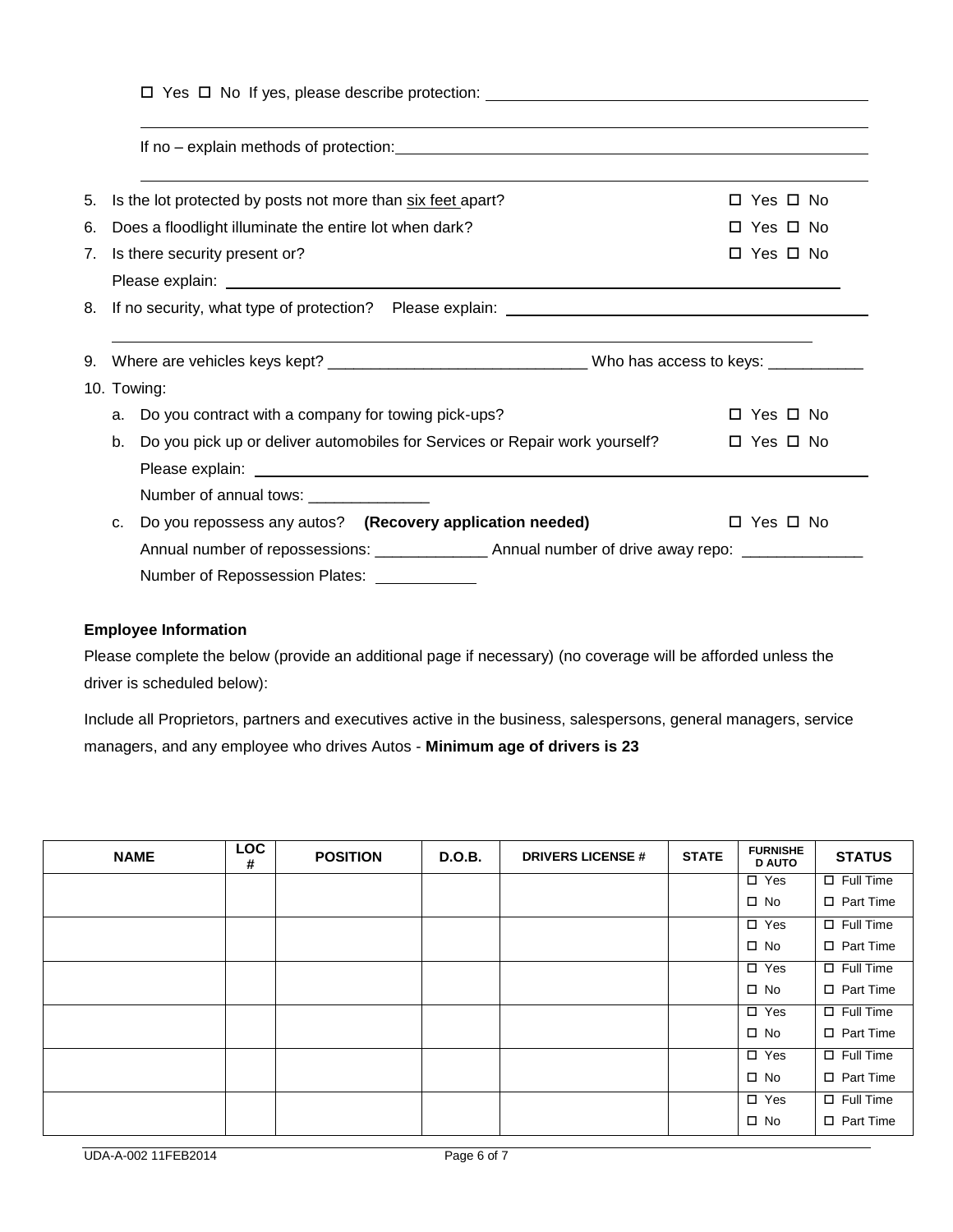|                                                                   | If no - explain methods of protection: example and the explanation of the explainment of the explainment of the explanation of the explanation of the explanation of the explanation of the explanation of the explanation of |
|-------------------------------------------------------------------|-------------------------------------------------------------------------------------------------------------------------------------------------------------------------------------------------------------------------------|
| Is the lot protected by posts not more than six feet apart?<br>5. | $\Box$ Yes $\Box$ No                                                                                                                                                                                                          |
| Does a floodlight illuminate the entire lot when dark?<br>6.      | $\Box$ Yes $\Box$ No                                                                                                                                                                                                          |
| 7. Is there security present or?                                  | $\Box$ Yes $\Box$ No                                                                                                                                                                                                          |
|                                                                   |                                                                                                                                                                                                                               |
|                                                                   |                                                                                                                                                                                                                               |
|                                                                   |                                                                                                                                                                                                                               |
|                                                                   |                                                                                                                                                                                                                               |
|                                                                   |                                                                                                                                                                                                                               |
| Do you contract with a company for towing pick-ups?<br>a.         | $\Box$ Yes $\Box$ No                                                                                                                                                                                                          |
| 10. Towing:<br>b.                                                 | Do you pick up or deliver automobiles for Services or Repair work yourself?<br>$\Box$ Yes $\Box$ No                                                                                                                           |
| Number of annual tows: _______________                            |                                                                                                                                                                                                                               |
| Do you repossess any autos? (Recovery application needed)<br>C.   | $\Box$ Yes $\Box$ No                                                                                                                                                                                                          |

# **Employee Information**

Please complete the below (provide an additional page if necessary) (no coverage will be afforded unless the driver is scheduled below):

Include all Proprietors, partners and executives active in the business, salespersons, general managers, service managers, and any employee who drives Autos - **Minimum age of drivers is 23** 

| <b>NAME</b> | <b>LOC</b><br># | <b>POSITION</b> | D.O.B. | <b>DRIVERS LICENSE #</b> | <b>STATE</b> | <b>FURNISHE</b><br><b>D AUTO</b> | <b>STATUS</b>    |
|-------------|-----------------|-----------------|--------|--------------------------|--------------|----------------------------------|------------------|
|             |                 |                 |        |                          |              | $\square$ Yes                    | $\Box$ Full Time |
|             |                 |                 |        |                          |              | $\square$ No                     | $\Box$ Part Time |
|             |                 |                 |        |                          |              | $\square$ Yes                    | $\Box$ Full Time |
|             |                 |                 |        |                          |              | $\square$ No                     | $\Box$ Part Time |
|             |                 |                 |        |                          |              | $\Box$ Yes                       | $\Box$ Full Time |
|             |                 |                 |        |                          |              | $\square$ No                     | □ Part Time      |
|             |                 |                 |        |                          |              | $\square$ Yes                    | $\Box$ Full Time |
|             |                 |                 |        |                          |              | $\square$ No                     | $\Box$ Part Time |
|             |                 |                 |        |                          |              | $\Box$ Yes                       | $\Box$ Full Time |
|             |                 |                 |        |                          |              | $\square$ No                     | □ Part Time      |
|             |                 |                 |        |                          |              | $\Box$ Yes                       | $\Box$ Full Time |
|             |                 |                 |        |                          |              | $\square$ No                     | $\Box$ Part Time |